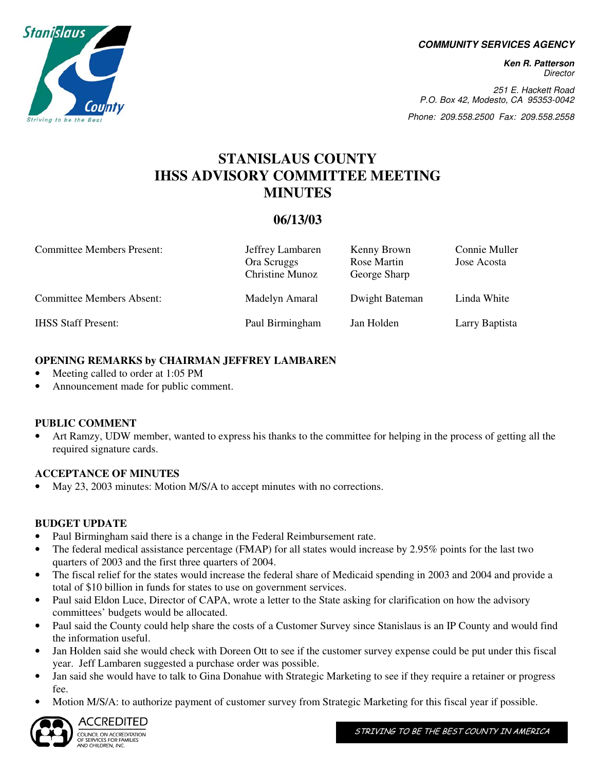**COMMUNITY SERVICES AGENCY** 

**Ken R. Patterson**  Director

251 E. Hackett Road P.O. Box 42, Modesto, CA 95353-0042

Phone: 209.558.2500 Fax: 209.558.2558

## **STANISLAUS COUNTY IHSS ADVISORY COMMITTEE MEETING MINUTES**

### **06/13/03**

| <b>Committee Members Present:</b> | Jeffrey Lambaren<br>Ora Scruggs<br>Christine Munoz | Kenny Brown<br>Rose Martin<br>George Sharp | Connie Muller<br>Jose Acosta |
|-----------------------------------|----------------------------------------------------|--------------------------------------------|------------------------------|
| <b>Committee Members Absent:</b>  | Madelyn Amaral                                     | Dwight Bateman                             | Linda White                  |
| <b>IHSS Staff Present:</b>        | Paul Birmingham                                    | Jan Holden                                 | Larry Baptista               |

#### **OPENING REMARKS by CHAIRMAN JEFFREY LAMBAREN**

- Meeting called to order at 1:05 PM
- Announcement made for public comment.

#### **PUBLIC COMMENT**

• Art Ramzy, UDW member, wanted to express his thanks to the committee for helping in the process of getting all the required signature cards.

#### **ACCEPTANCE OF MINUTES**

• May 23, 2003 minutes: Motion M/S/A to accept minutes with no corrections.

#### **BUDGET UPDATE**

- Paul Birmingham said there is a change in the Federal Reimbursement rate.
- The federal medical assistance percentage (FMAP) for all states would increase by 2.95% points for the last two quarters of 2003 and the first three quarters of 2004.
- The fiscal relief for the states would increase the federal share of Medicaid spending in 2003 and 2004 and provide a total of \$10 billion in funds for states to use on government services.
- Paul said Eldon Luce, Director of CAPA, wrote a letter to the State asking for clarification on how the advisory committees' budgets would be allocated.
- Paul said the County could help share the costs of a Customer Survey since Stanislaus is an IP County and would find the information useful.
- Jan Holden said she would check with Doreen Ott to see if the customer survey expense could be put under this fiscal year. Jeff Lambaren suggested a purchase order was possible.
- Jan said she would have to talk to Gina Donahue with Strategic Marketing to see if they require a retainer or progress fee.
- Motion M/S/A: to authorize payment of customer survey from Strategic Marketing for this fiscal year if possible.



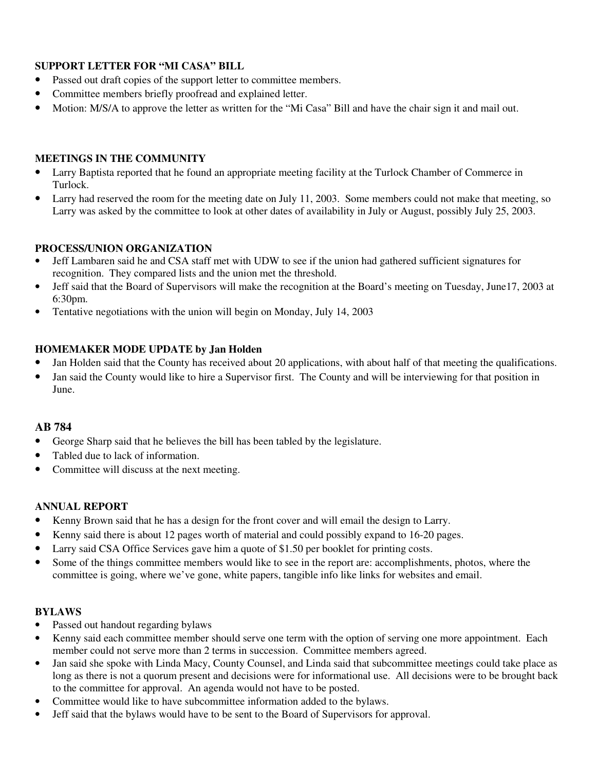#### **SUPPORT LETTER FOR "MI CASA" BILL**

- Passed out draft copies of the support letter to committee members.
- Committee members briefly proofread and explained letter.
- Motion: M/S/A to approve the letter as written for the "Mi Casa" Bill and have the chair sign it and mail out.

#### **MEETINGS IN THE COMMUNITY**

- Larry Baptista reported that he found an appropriate meeting facility at the Turlock Chamber of Commerce in Turlock.
- Larry had reserved the room for the meeting date on July 11, 2003. Some members could not make that meeting, so Larry was asked by the committee to look at other dates of availability in July or August, possibly July 25, 2003.

#### **PROCESS/UNION ORGANIZATION**

- Jeff Lambaren said he and CSA staff met with UDW to see if the union had gathered sufficient signatures for recognition. They compared lists and the union met the threshold.
- Jeff said that the Board of Supervisors will make the recognition at the Board's meeting on Tuesday, June17, 2003 at 6:30pm.
- Tentative negotiations with the union will begin on Monday, July 14, 2003

#### **HOMEMAKER MODE UPDATE by Jan Holden**

- Jan Holden said that the County has received about 20 applications, with about half of that meeting the qualifications.
- Jan said the County would like to hire a Supervisor first. The County and will be interviewing for that position in June.

#### **AB 784**

- George Sharp said that he believes the bill has been tabled by the legislature.
- Tabled due to lack of information.
- Committee will discuss at the next meeting.

#### **ANNUAL REPORT**

- Kenny Brown said that he has a design for the front cover and will email the design to Larry.
- Kenny said there is about 12 pages worth of material and could possibly expand to 16-20 pages.
- Larry said CSA Office Services gave him a quote of \$1.50 per booklet for printing costs.
- Some of the things committee members would like to see in the report are: accomplishments, photos, where the committee is going, where we've gone, white papers, tangible info like links for websites and email.

#### **BYLAWS**

- Passed out handout regarding bylaws
- Kenny said each committee member should serve one term with the option of serving one more appointment. Each member could not serve more than 2 terms in succession. Committee members agreed.
- Jan said she spoke with Linda Macy, County Counsel, and Linda said that subcommittee meetings could take place as long as there is not a quorum present and decisions were for informational use. All decisions were to be brought back to the committee for approval. An agenda would not have to be posted.
- Committee would like to have subcommittee information added to the bylaws.
- Jeff said that the bylaws would have to be sent to the Board of Supervisors for approval.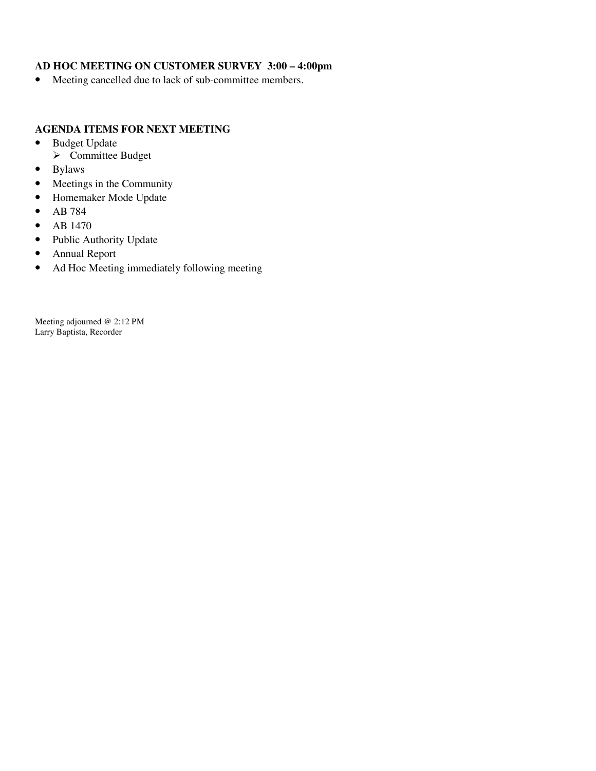#### **AD HOC MEETING ON CUSTOMER SURVEY 3:00 – 4:00pm**

• Meeting cancelled due to lack of sub-committee members.

#### **AGENDA ITEMS FOR NEXT MEETING**

- Budget Update
- **►** Committee Budget
- Bylaws
- Meetings in the Community
- Homemaker Mode Update
- AB 784
- AB 1470
- Public Authority Update
- Annual Report
- Ad Hoc Meeting immediately following meeting

Meeting adjourned @ 2:12 PM Larry Baptista, Recorder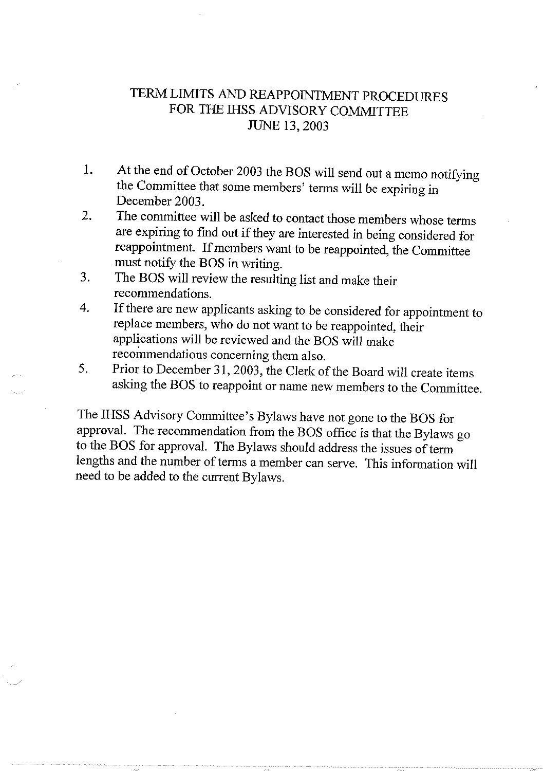## TERM LIMITS AND REAPPOINTMENT PROCEDURES FOR THE IHSS ADVISORY COMMITTEE **JUNE 13, 2003**

- At the end of October 2003 the BOS will send out a memo notifying  $1<sub>1</sub>$ the Committee that some members' terms will be expiring in December 2003.
- The committee will be asked to contact those members whose terms 2. are expiring to find out if they are interested in being considered for reappointment. If members want to be reappointed, the Committee must notify the BOS in writing.
- The BOS will review the resulting list and make their 3. recommendations.
- If there are new applicants asking to be considered for appointment to 4. replace members, who do not want to be reappointed, their applications will be reviewed and the BOS will make recommendations concerning them also.
- Prior to December 31, 2003, the Clerk of the Board will create items 5. asking the BOS to reappoint or name new members to the Committee.

The IHSS Advisory Committee's Bylaws have not gone to the BOS for approval. The recommendation from the BOS office is that the Bylaws go to the BOS for approval. The Bylaws should address the issues of term lengths and the number of terms a member can serve. This information will need to be added to the current Bylaws.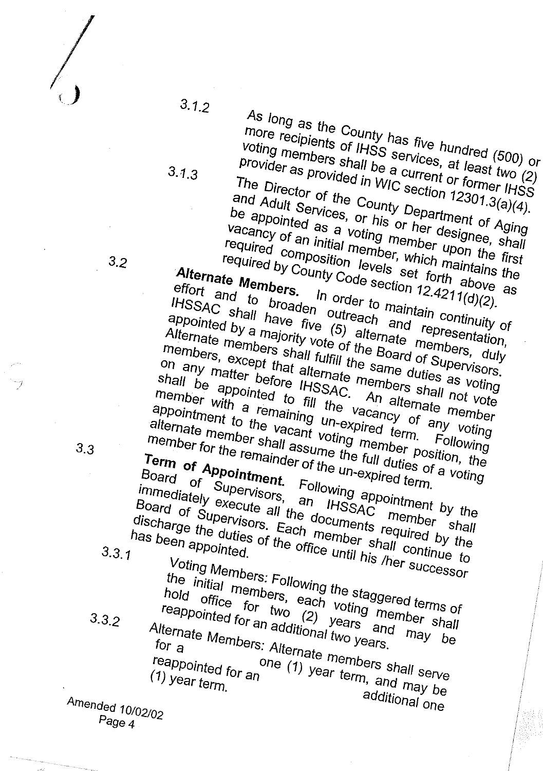$3.1.2$ 

 $3.1.3$ 

As long as the County has five hundred  $(500)$  or more recipients of IHSS services, at least two (2) voting members shall be a current or former IHSS provider as provided in WIC section  $12301.3(a)(4)$ . The Director of the County Department of Aging and Adult Services, or his or her designee, shall be appointed as a voting member upon the first vacancy of an initial member, which maintains the required composition levels set forth above as

required by County Code section  $12.4211(d)(2)$ . Alternate Members. effort and to broaden outreach and representation, In order to maintain continuity of IHSSAC shall have five (5) alternate members, duly appointed by a majority vote of the Board of Supervisors. Alternate members shall fulfill the same duties as voting members, except that alternate members shall not vote on any matter before IHSSAC. shall be appointed to fill the vacancy of any voting member with a remaining un-expired term. An alternate member appointment to the vacant voting member position, the alternate member shall assume the full duties of a voting member for the remainder of the un-expired term. Following Term of Appointment. Following appointment by the Board of Supervisors, an IHSSAC

immediately execute all the documents required by the Board of Supervisors. Each member shall continue to discharge the duties of the office until his /her successor member shall has been appointed.

 $3.3.1$ 

 $3.2$ 

Voting Members: Following the staggered terms of

the initial members, each voting member shall hold office for two  $(2)$  years and may be reappointed for an additional two years. Alternate Members: Alternate members shall serve

one (1) year term, and may be  $(1)$  year term. additional one

 $3.3$ 

 $3.32$ 

Amended 10/02/02  $P_{\text{age }4}$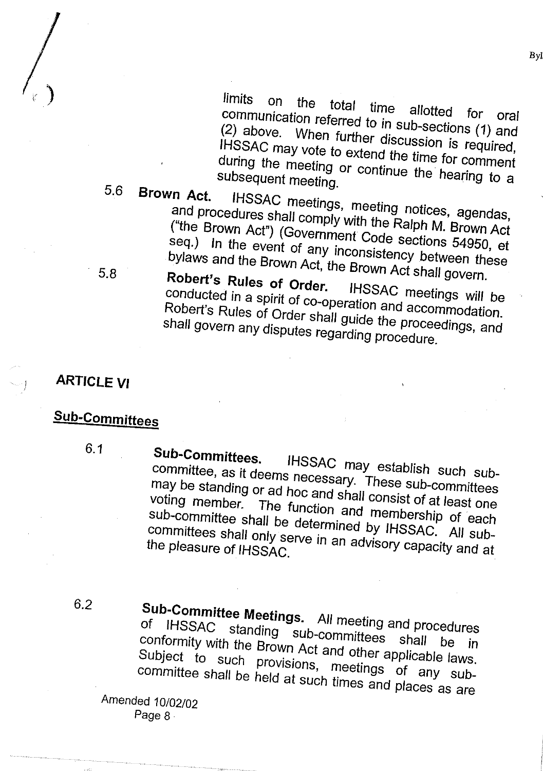*limits* on the total time allotted communication referred to in sub-sections (1) and (2) above. When further discussion is required, IHSSAC may vote to extend the time for comment during the meeting or continue the hearing to a subsequent meeting.

#### $5.6$ Brown Act. IHSSAC meetings, meeting notices, agendas, and procedures shall comply with the Ralph M. Brown Act ("the Brown Act") (Government Code sections 54950, et seq.) In the event of any inconsistency between these bylaws and the Brown Act, the Brown Act shall govern. 5.8

Robert's Rules of Order. IHSSAC meetings will be conducted in a spirit of co-operation and accommodation. Robert's Rules of Order shall guide the proceedings, and shall govern any disputes regarding procedure.

# **ARTICLE VI**

# Sub-Committees

 $6.1$ 

# Sub-Committees.

IHSSAC may establish such subcommittee, as it deems necessary. These sub-committees may be standing or ad hoc and shall consist of at least one voting member. The function and membership of each sub-committee shall be determined by IHSSAC. All subcommittees shall only serve in an advisory capacity and at the pleasure of IHSSAC.

## 6.2

**Sub-Committee Meetings.** All meeting and procedures IHSSAC standing sub-committees 0f conformity with the Brown Act and other applicable laws. shall be in Subject to such provisions, meetings of any subcommittee shall be held at such times and places as are

Amended 10/02/02 Page 8

Byl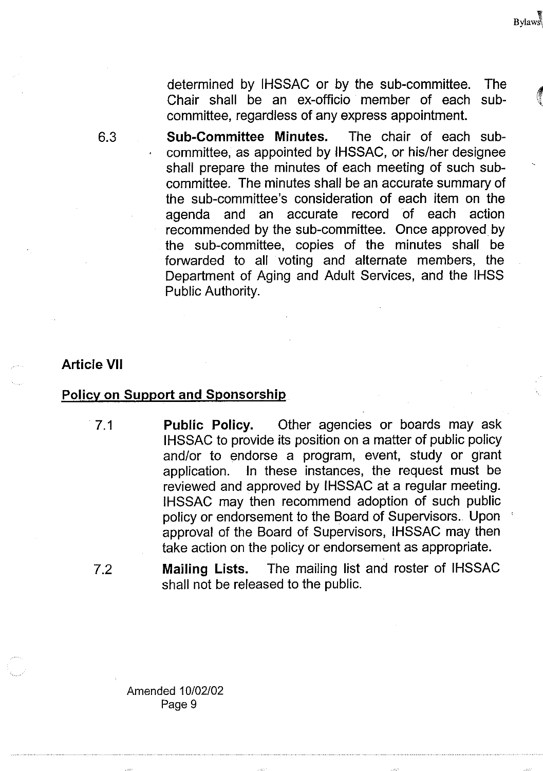determined by IHSSAC or by the sub-committee. The Chair shall be an ex-officio member of each subcommittee, regardless of any express appointment.

**Bylaws** 

The chair of each sub-**Sub-Committee Minutes.** committee, as appointed by IHSSAC, or his/her designee shall prepare the minutes of each meeting of such subcommittee. The minutes shall be an accurate summary of the sub-committee's consideration of each item on the agenda and an accurate record of each action recommended by the sub-committee. Once approved by the sub-committee, copies of the minutes shall be forwarded to all voting and alternate members, the Department of Aging and Adult Services, and the IHSS Public Authority.

#### **Article VII**

#### **Policy on Support and Sponsorship**

 $7.1$ 

**Public Policy.** Other agencies or boards may ask IHSSAC to provide its position on a matter of public policy and/or to endorse a program, event, study or grant In these instances, the request must be application. reviewed and approved by IHSSAC at a regular meeting. IHSSAC may then recommend adoption of such public policy or endorsement to the Board of Supervisors. Upon approval of the Board of Supervisors, IHSSAC may then take action on the policy or endorsement as appropriate.

The mailing list and roster of IHSSAC  $7.2$ Mailing Lists. shall not be released to the public.

Amended 10/02/02 Page 9

6.3